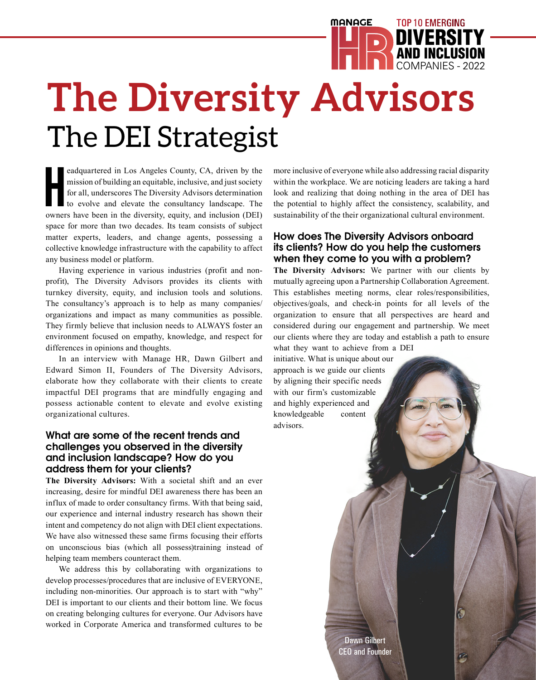# **The Diversity Advisors** The DEI Strategist COMPANIES - 2022

eadquartered in Los Angeles County, CA, driven by the mission of building an equitable, inclusive, and just society for all, underscores The Diversity Advisors determination to evolve and elevate the consultancy landscape. eadquartered in Los Angeles County, CA, driven by the mission of building an equitable, inclusive, and just society for all, underscores The Diversity Advisors determination to evolve and elevate the consultancy landscape. The space for more than two decades. Its team consists of subject matter experts, leaders, and change agents, possessing a collective knowledge infrastructure with the capability to affect any business model or platform.

Having experience in various industries (profit and nonprofit), The Diversity Advisors provides its clients with turnkey diversity, equity, and inclusion tools and solutions. The consultancy's approach is to help as many companies/ organizations and impact as many communities as possible. They firmly believe that inclusion needs to ALWAYS foster an environment focused on empathy, knowledge, and respect for differences in opinions and thoughts.

In an interview with Manage HR, Dawn Gilbert and Edward Simon II, Founders of The Diversity Advisors, elaborate how they collaborate with their clients to create impactful DEI programs that are mindfully engaging and possess actionable content to elevate and evolve existing organizational cultures.

## **What are some of the recent trends and challenges you observed in the diversity and inclusion landscape? How do you address them for your clients?**

**The Diversity Advisors:** With a societal shift and an ever increasing, desire for mindful DEI awareness there has been an influx of made to order consultancy firms. With that being said, our experience and internal industry research has shown their intent and competency do not align with DEI client expectations. We have also witnessed these same firms focusing their efforts on unconscious bias (which all possess)training instead of helping team members counteract them.

We address this by collaborating with organizations to develop processes/procedures that are inclusive of EVERYONE, including non-minorities. Our approach is to start with "why" DEI is important to our clients and their bottom line. We focus on creating belonging cultures for everyone. Our Advisors have worked in Corporate America and transformed cultures to be more inclusive of everyone while also addressing racial disparity within the workplace. We are noticing leaders are taking a hard look and realizing that doing nothing in the area of DEI has the potential to highly affect the consistency, scalability, and sustainability of the their organizational cultural environment.

**MANAGE** 

AND INCLUSION **DIVERSIT** 

TOP 10 EMERGING

## **How does The Diversity Advisors onboard its clients? How do you help the customers when they come to you with a problem?**

**The Diversity Advisors:** We partner with our clients by mutually agreeing upon a Partnership Collaboration Agreement. This establishes meeting norms, clear roles/responsibilities, objectives/goals, and check-in points for all levels of the organization to ensure that all perspectives are heard and considered during our engagement and partnership. We meet our clients where they are today and establish a path to ensure what they want to achieve from a DEI

initiative. What is unique about our approach is we guide our clients by aligning their specific needs with our firm's customizable and highly experienced and knowledgeable content advisors.

> Dawn Gilbert CEO and Founder

Ó

S